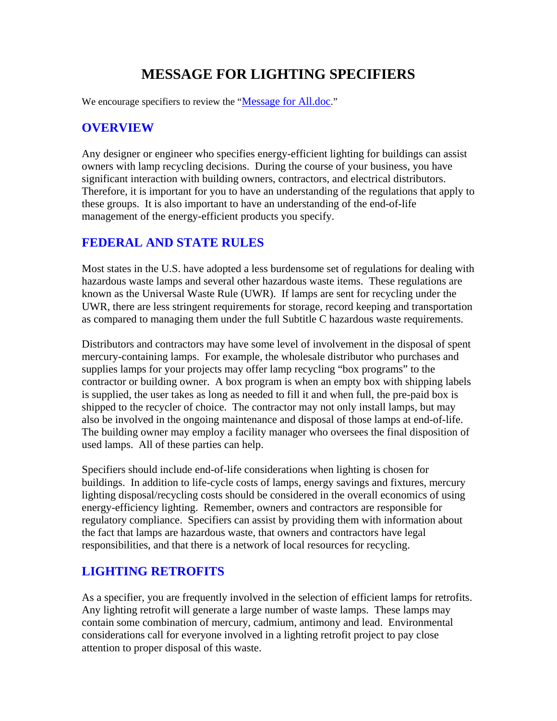# **MESSAGE FOR LIGHTING SPECIFIERS**

We encourage specifiers to review the "Message for All.doc."

#### **OVERVIEW**

Any designer or engineer who specifies energy-efficient lighting for buildings can assist owners with lamp recycling decisions. During the course of your business, you have significant interaction with building owners, contractors, and electrical distributors. Therefore, it is important for you to have an understanding of the regulations that apply to these groups. It is also important to have an understanding of the end-of-life management of the energy-efficient products you specify.

#### **FEDERAL AND STATE RULES**

Most states in the U.S. have adopted a less burdensome set of regulations for dealing with hazardous waste lamps and several other hazardous waste items. These regulations are known as the Universal Waste Rule (UWR). If lamps are sent for recycling under the UWR, there are less stringent requirements for storage, record keeping and transportation as compared to managing them under the full Subtitle C hazardous waste requirements.

Distributors and contractors may have some level of involvement in the disposal of spent mercury-containing lamps. For example, the wholesale distributor who purchases and supplies lamps for your projects may offer lamp recycling "box programs" to the contractor or building owner. A box program is when an empty box with shipping labels is supplied, the user takes as long as needed to fill it and when full, the pre-paid box is shipped to the recycler of choice. The contractor may not only install lamps, but may also be involved in the ongoing maintenance and disposal of those lamps at end-of-life. The building owner may employ a facility manager who oversees the final disposition of used lamps. All of these parties can help.

Specifiers should include end-of-life considerations when lighting is chosen for buildings. In addition to life-cycle costs of lamps, energy savings and fixtures, mercury lighting disposal/recycling costs should be considered in the overall economics of using energy-efficiency lighting. Remember, owners and contractors are responsible for regulatory compliance. Specifiers can assist by providing them with information about the fact that lamps are hazardous waste, that owners and contractors have legal responsibilities, and that there is a network of local resources for recycling.

### **LIGHTING RETROFITS**

As a specifier, you are frequently involved in the selection of efficient lamps for retrofits. Any lighting retrofit will generate a large number of waste lamps. These lamps may contain some combination of mercury, cadmium, antimony and lead. Environmental considerations call for everyone involved in a lighting retrofit project to pay close attention to proper disposal of this waste.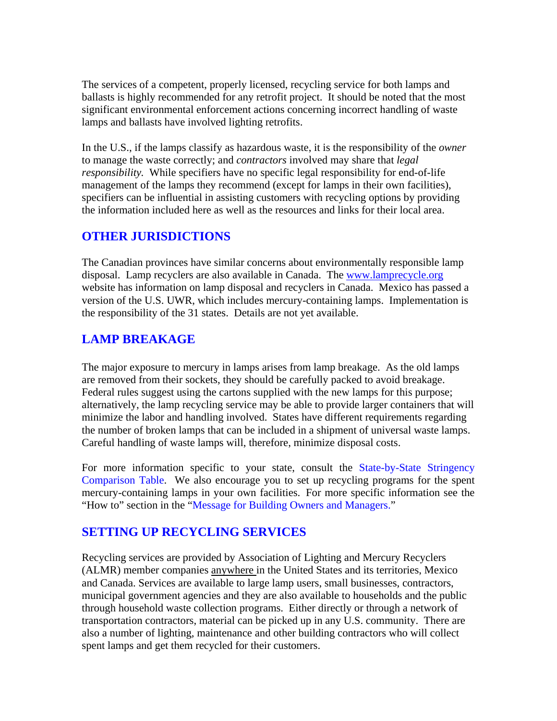The services of a competent, properly licensed, recycling service for both lamps and ballasts is highly recommended for any retrofit project. It should be noted that the most significant environmental enforcement actions concerning incorrect handling of waste lamps and ballasts have involved lighting retrofits.

In the U.S., if the lamps classify as hazardous waste, it is the responsibility of the *owner* to manage the waste correctly; and *contractors* involved may share that *legal responsibility.* While specifiers have no specific legal responsibility for end-of-life management of the lamps they recommend (except for lamps in their own facilities), specifiers can be influential in assisting customers with recycling options by providing the information included here as well as the resources and links for their local area.

## **OTHER JURISDICTIONS**

The Canadian provinces have similar concerns about environmentally responsible lamp disposal. Lamp recyclers are also available in Canada. The [www.lamprecycle.org](http://www.lamprecycle.org/) website has information on lamp disposal and recyclers in Canada. Mexico has passed a version of the U.S. UWR, which includes mercury-containing lamps. Implementation is the responsibility of the 31 states. Details are not yet available.

## **LAMP BREAKAGE**

The major exposure to mercury in lamps arises from lamp breakage. As the old lamps are removed from their sockets, they should be carefully packed to avoid breakage. Federal rules suggest using the cartons supplied with the new lamps for this purpose; alternatively, the lamp recycling service may be able to provide larger containers that will minimize the labor and handling involved. States have different requirements regarding the number of broken lamps that can be included in a shipment of universal waste lamps. Careful handling of waste lamps will, therefore, minimize disposal costs.

For more information specific to your state, consult the State-by-State Stringency Comparison Table. We also encourage you to set up recycling programs for the spent mercury-containing lamps in your own facilities. For more specific information see the "How to" section in the "Message for Building Owners and Managers."

## **SETTING UP RECYCLING SERVICES**

Recycling services are provided by Association of Lighting and Mercury Recyclers (ALMR) member companies anywhere in the United States and its territories, Mexico and Canada. Services are available to large lamp users, small businesses, contractors, municipal government agencies and they are also available to households and the public through household waste collection programs. Either directly or through a network of transportation contractors, material can be picked up in any U.S. community. There are also a number of lighting, maintenance and other building contractors who will collect spent lamps and get them recycled for their customers.